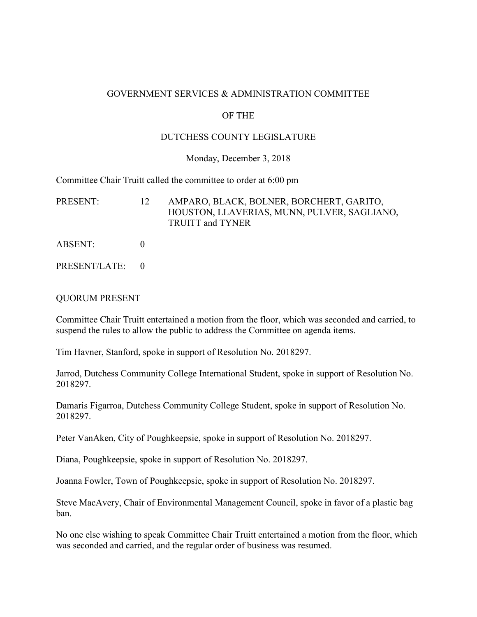#### GOVERNMENT SERVICES & ADMINISTRATION COMMITTEE

### OF THE

### DUTCHESS COUNTY LEGISLATURE

#### Monday, December 3, 2018

Committee Chair Truitt called the committee to order at 6:00 pm

PRESENT: 12 AMPARO, BLACK, BOLNER, BORCHERT, GARITO, HOUSTON, LLAVERIAS, MUNN, PULVER, SAGLIANO, TRUITT and TYNER

- ABSENT: 0
- PRESENT/LATE: 0

#### QUORUM PRESENT

Committee Chair Truitt entertained a motion from the floor, which was seconded and carried, to suspend the rules to allow the public to address the Committee on agenda items.

Tim Havner, Stanford, spoke in support of Resolution No. 2018297.

Jarrod, Dutchess Community College International Student, spoke in support of Resolution No. 2018297.

Damaris Figarroa, Dutchess Community College Student, spoke in support of Resolution No. 2018297.

Peter VanAken, City of Poughkeepsie, spoke in support of Resolution No. 2018297.

Diana, Poughkeepsie, spoke in support of Resolution No. 2018297.

Joanna Fowler, Town of Poughkeepsie, spoke in support of Resolution No. 2018297.

Steve MacAvery, Chair of Environmental Management Council, spoke in favor of a plastic bag ban.

No one else wishing to speak Committee Chair Truitt entertained a motion from the floor, which was seconded and carried, and the regular order of business was resumed.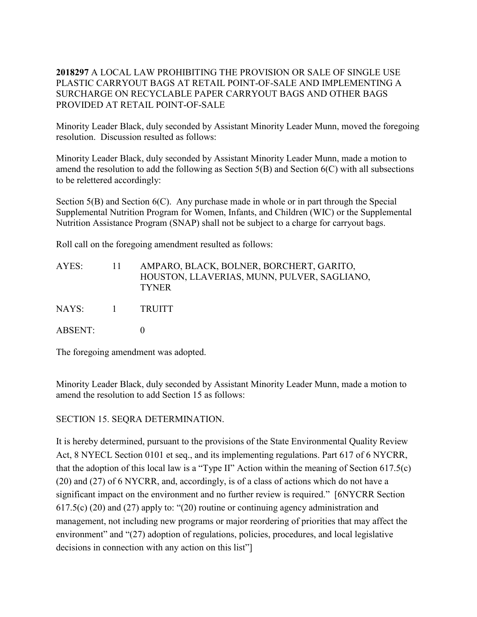## **2018297** A LOCAL LAW PROHIBITING THE PROVISION OR SALE OF SINGLE USE PLASTIC CARRYOUT BAGS AT RETAIL POINT-OF-SALE AND IMPLEMENTING A SURCHARGE ON RECYCLABLE PAPER CARRYOUT BAGS AND OTHER BAGS PROVIDED AT RETAIL POINT-OF-SALE

Minority Leader Black, duly seconded by Assistant Minority Leader Munn, moved the foregoing resolution. Discussion resulted as follows:

Minority Leader Black, duly seconded by Assistant Minority Leader Munn, made a motion to amend the resolution to add the following as Section 5(B) and Section 6(C) with all subsections to be relettered accordingly:

Section 5(B) and Section 6(C). Any purchase made in whole or in part through the Special Supplemental Nutrition Program for Women, Infants, and Children (WIC) or the Supplemental Nutrition Assistance Program (SNAP) shall not be subject to a charge for carryout bags.

Roll call on the foregoing amendment resulted as follows:

| AYES:   |          | AMPARO, BLACK, BOLNER, BORCHERT, GARITO,<br>HOUSTON, LLAVERIAS, MUNN, PULVER, SAGLIANO,<br><b>TYNER</b> |
|---------|----------|---------------------------------------------------------------------------------------------------------|
| NAYS:   | $\sim$ 1 | <b>TRUITT</b>                                                                                           |
| ABSENT: |          |                                                                                                         |

The foregoing amendment was adopted.

Minority Leader Black, duly seconded by Assistant Minority Leader Munn, made a motion to amend the resolution to add Section 15 as follows:

SECTION 15. SEQRA DETERMINATION.

It is hereby determined, pursuant to the provisions of the State Environmental Quality Review Act, 8 NYECL Section 0101 et seq., and its implementing regulations. Part 617 of 6 NYCRR, that the adoption of this local law is a "Type II" Action within the meaning of Section 617.5(c) (20) and (27) of 6 NYCRR, and, accordingly, is of a class of actions which do not have a significant impact on the environment and no further review is required." [6NYCRR Section 617.5(c) (20) and (27) apply to: "(20) routine or continuing agency administration and management, not including new programs or major reordering of priorities that may affect the environment" and "(27) adoption of regulations, policies, procedures, and local legislative decisions in connection with any action on this list"]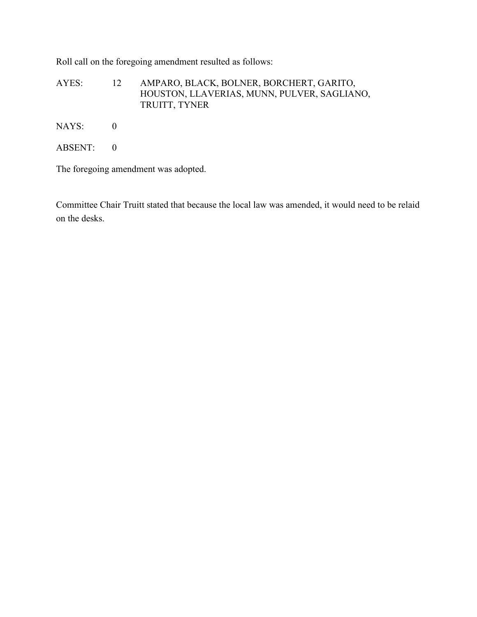Roll call on the foregoing amendment resulted as follows:

AYES: 12 AMPARO, BLACK, BOLNER, BORCHERT, GARITO, HOUSTON, LLAVERIAS, MUNN, PULVER, SAGLIANO, TRUITT, TYNER

NAYS: 0

ABSENT: 0

The foregoing amendment was adopted.

Committee Chair Truitt stated that because the local law was amended, it would need to be relaid on the desks.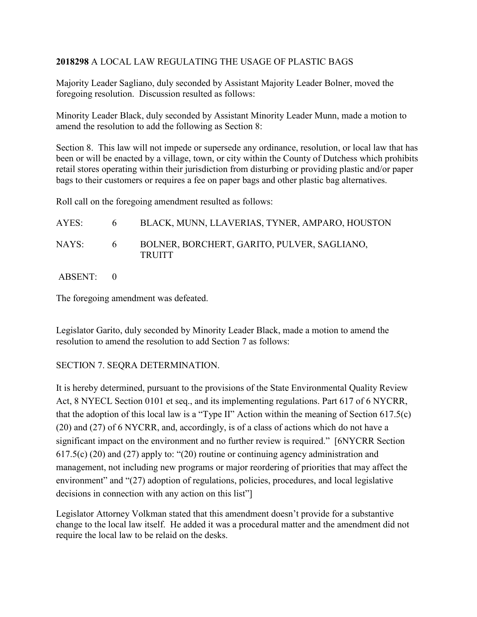## **2018298** A LOCAL LAW REGULATING THE USAGE OF PLASTIC BAGS

Majority Leader Sagliano, duly seconded by Assistant Majority Leader Bolner, moved the foregoing resolution. Discussion resulted as follows:

Minority Leader Black, duly seconded by Assistant Minority Leader Munn, made a motion to amend the resolution to add the following as Section 8:

Section 8. This law will not impede or supersede any ordinance, resolution, or local law that has been or will be enacted by a village, town, or city within the County of Dutchess which prohibits retail stores operating within their jurisdiction from disturbing or providing plastic and/or paper bags to their customers or requires a fee on paper bags and other plastic bag alternatives.

Roll call on the foregoing amendment resulted as follows:

| AYES: | $\mathfrak{b}$ | BLACK, MUNN, LLAVERIAS, TYNER, AMPARO, HOUSTON               |
|-------|----------------|--------------------------------------------------------------|
| NAYS: | 6 <sup>1</sup> | BOLNER, BORCHERT, GARITO, PULVER, SAGLIANO,<br><b>TRUITT</b> |

ABSENT: 0

The foregoing amendment was defeated.

Legislator Garito, duly seconded by Minority Leader Black, made a motion to amend the resolution to amend the resolution to add Section 7 as follows:

## SECTION 7. SEQRA DETERMINATION.

It is hereby determined, pursuant to the provisions of the State Environmental Quality Review Act, 8 NYECL Section 0101 et seq., and its implementing regulations. Part 617 of 6 NYCRR, that the adoption of this local law is a "Type II" Action within the meaning of Section 617.5(c) (20) and (27) of 6 NYCRR, and, accordingly, is of a class of actions which do not have a significant impact on the environment and no further review is required." [6NYCRR Section 617.5(c) (20) and (27) apply to: "(20) routine or continuing agency administration and management, not including new programs or major reordering of priorities that may affect the environment" and "(27) adoption of regulations, policies, procedures, and local legislative decisions in connection with any action on this list"

Legislator Attorney Volkman stated that this amendment doesn't provide for a substantive change to the local law itself. He added it was a procedural matter and the amendment did not require the local law to be relaid on the desks.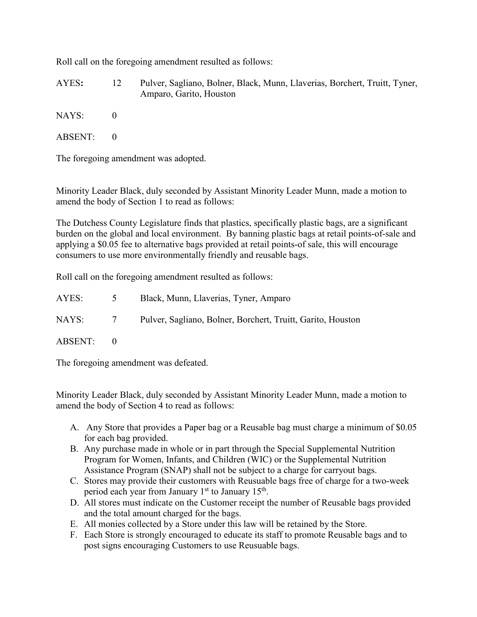Roll call on the foregoing amendment resulted as follows:

AYES**:** 12 Pulver, Sagliano, Bolner, Black, Munn, Llaverias, Borchert, Truitt, Tyner, Amparo, Garito, Houston

 $NAYS: 0$ 

ABSENT: 0

The foregoing amendment was adopted.

Minority Leader Black, duly seconded by Assistant Minority Leader Munn, made a motion to amend the body of Section 1 to read as follows:

The Dutchess County Legislature finds that plastics, specifically plastic bags, are a significant burden on the global and local environment. By banning plastic bags at retail points-of-sale and applying a \$0.05 fee to alternative bags provided at retail points-of sale, this will encourage consumers to use more environmentally friendly and reusable bags.

Roll call on the foregoing amendment resulted as follows:

| AYES:   | $\mathcal{D}$   | Black, Munn, Llaverias, Tyner, Amparo                       |
|---------|-----------------|-------------------------------------------------------------|
| NAYS:   | $7\overline{ }$ | Pulver, Sagliano, Bolner, Borchert, Truitt, Garito, Houston |
| ABSENT: |                 |                                                             |

The foregoing amendment was defeated.

Minority Leader Black, duly seconded by Assistant Minority Leader Munn, made a motion to amend the body of Section 4 to read as follows:

- A. Any Store that provides a Paper bag or a Reusable bag must charge a minimum of \$0.05 for each bag provided.
- B. Any purchase made in whole or in part through the Special Supplemental Nutrition Program for Women, Infants, and Children (WIC) or the Supplemental Nutrition Assistance Program (SNAP) shall not be subject to a charge for carryout bags.
- C. Stores may provide their customers with Reusuable bags free of charge for a two-week period each year from January  $1<sup>st</sup>$  to January  $15<sup>th</sup>$ .
- D. All stores must indicate on the Customer receipt the number of Reusable bags provided and the total amount charged for the bags.
- E. All monies collected by a Store under this law will be retained by the Store.
- F. Each Store is strongly encouraged to educate its staff to promote Reusable bags and to post signs encouraging Customers to use Reusuable bags.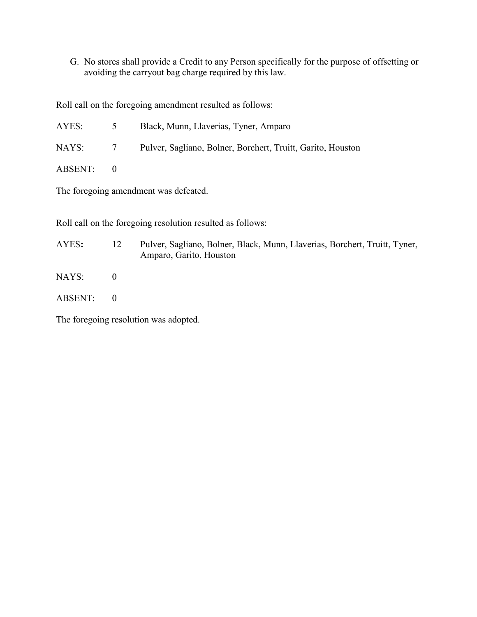G. No stores shall provide a Credit to any Person specifically for the purpose of offsetting or avoiding the carryout bag charge required by this law.

Roll call on the foregoing amendment resulted as follows:

| AYES:   | $\mathcal{D}$  | Black, Munn, Llaverias, Tyner, Amparo                       |
|---------|----------------|-------------------------------------------------------------|
| NAYS:   | $7\phantom{0}$ | Pulver, Sagliano, Bolner, Borchert, Truitt, Garito, Houston |
| ABSENT: | $\bigcirc$     |                                                             |

The foregoing amendment was defeated.

Roll call on the foregoing resolution resulted as follows:

# AYES**:** 12 Pulver, Sagliano, Bolner, Black, Munn, Llaverias, Borchert, Truitt, Tyner, Amparo, Garito, Houston

- NAYS: 0
- ABSENT: 0

The foregoing resolution was adopted.